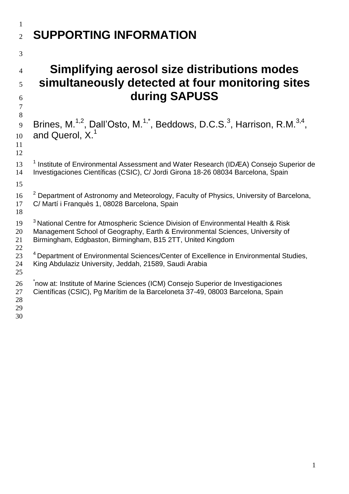## **SUPPORTING INFORMATION**

## **Simplifying aerosol size distributions modes simultaneously detected at four monitoring sites during SAPUSS**

 9 Brines, M.<sup>1,2</sup>, Dall'Osto, M.<sup>1,\*</sup>, Beddows, D.C.S.<sup>3</sup>, Harrison, R.M.<sup>3,4</sup>, and Querol, X.<sup>1</sup> 

13 <sup>1</sup> Institute of Environmental Assessment and Water Research (IDÆA) Consejo Superior de Investigaciones Científicas (CSIC), C/ Jordi Girona 18-26 08034 Barcelona, Spain

- <sup>2</sup> Department of Astronomy and Meteorology, Faculty of Physics, University of Barcelona, C/ Martí i Franquès 1, 08028 Barcelona, Spain
- 19 <sup>3</sup> National Centre for Atmospheric Science Division of Environmental Health & Risk Management School of Geography, Earth & Environmental Sciences, University of Birmingham, Edgbaston, Birmingham, B15 2TT, United Kingdom
- <sup>4</sup> Department of Environmental Sciences/Center of Excellence in Environmental Studies, King Abdulaziz University, Jeddah, 21589, Saudi Arabia
- 
- 26 <sup>\*</sup>now at: Institute of Marine Sciences (ICM) Consejo Superior de Investigaciones
- Científicas (CSIC), Pg Marítim de la Barceloneta 37-49, 08003 Barcelona, Spain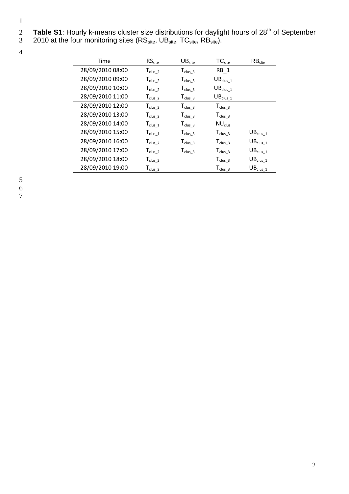- 2 Table S1: Hourly k-means cluster size distributions for daylight hours of 28<sup>th</sup> of September
- 3 2010 at the four monitoring sites ( $\text{RS}_{\text{site}}$ ,  $\text{UB}_{\text{site}}$ ,  $\text{TC}_{\text{site}}$ ,  $\text{RB}_{\text{site}}$ ).

4

| Time             | RS <sub>site</sub>   | UB <sub>site</sub>   | TC <sub>site</sub>   | RB <sub>site</sub>               |
|------------------|----------------------|----------------------|----------------------|----------------------------------|
| 28/09/2010 08:00 | $T_{\text{clus}\_2}$ | $T_{\text{clus}\_3}$ | $RB_1$               |                                  |
| 28/09/2010 09:00 | $T_{\text{clus}\_2}$ | $T_{\text{clus}\_3}$ | $UB_{clus\_1}$       |                                  |
| 28/09/2010 10:00 | $T_{\text{clus}\_2}$ | $T_{\text{clus}\_3}$ | $UB_{clus\_1}$       |                                  |
| 28/09/2010 11:00 | $T_{\text{clus}\_2}$ | $T_{\text{clus}\_3}$ | $UB_{clus\_1}$       |                                  |
| 28/09/2010 12:00 | $T_{\text{clus}\_2}$ | $T_{\text{clus}\_3}$ | $T_{\text{clus}\_3}$ |                                  |
| 28/09/2010 13:00 | $T_{\text{clus}\_2}$ | $T_{\text{clus}\_3}$ | $T_{\text{clus}\_3}$ |                                  |
| 28/09/2010 14:00 | $T_{\text{clus}\_1}$ | $T_{\text{clus}\_3}$ | NU <sub>clus</sub>   |                                  |
| 28/09/2010 15:00 | $T_{\text{clus}\_1}$ | $T_{\text{clus}\_3}$ | $T_{\text{clus}\_3}$ | $UB_{clus\_1}$                   |
| 28/09/2010 16:00 | $T_{\text{clus}\_2}$ | $T_{\text{clus}\_3}$ | $T_{\text{clus}\_3}$ | $UB_{clus\_1}$                   |
| 28/09/2010 17:00 | $T_{\text{clus}\_2}$ | $T_{\text{clus}\_3}$ | $T_{\text{clus}\_3}$ | $UB_{clus\_1}$                   |
| 28/09/2010 18:00 | $T_{\text{clus}\_2}$ |                      | $T_{\text{clus}\_3}$ | $\mathsf{UB}_{\mathsf{clus}\_1}$ |
| 28/09/2010 19:00 | $T_{\text{clus}\_2}$ |                      | $T_{\text{clus}\_3}$ | $\mathsf{UB}_{\mathsf{clus}\_1}$ |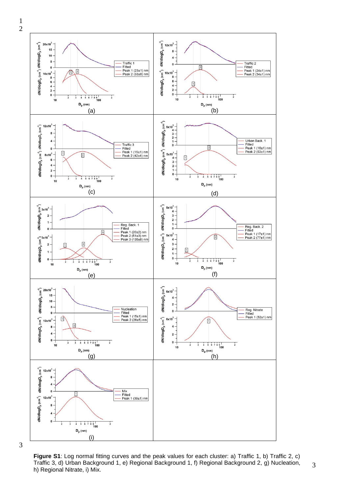

**Figure S1**: Log normal fitting curves and the peak values for each cluster: a) Traffic 1, b) Traffic 2, c) Traffic 3, d) Urban Background 1, e) Regional Background 1, f) Regional Background 2, g) Nucleation, h) Regional Nitrate, i) Mix.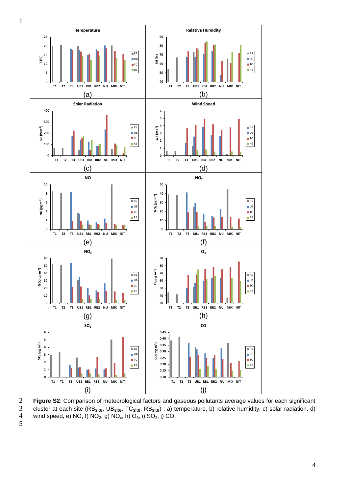

5

**Figure S2**: Comparison of meteorological factors and gaseous pollutants average values for each significant cluster at each site (RS<sub>site</sub>, UB<sub>site</sub>, TC<sub>site</sub>, RB<sub>site</sub>) : a) temperature, b) relative humidity, c) solar ra cluster at each site (RS<sub>site</sub>, UB<sub>site</sub>, TC<sub>site</sub>, RB<sub>site</sub>) : a) temperature, b) relative humidity, c) solar radiation, d) wind speed, e) NO, f)  $NO<sub>2</sub>$ , g)  $NO<sub>x</sub>$ , h)  $O<sub>3</sub>$ , i)  $SO<sub>2</sub>$ , j) CO.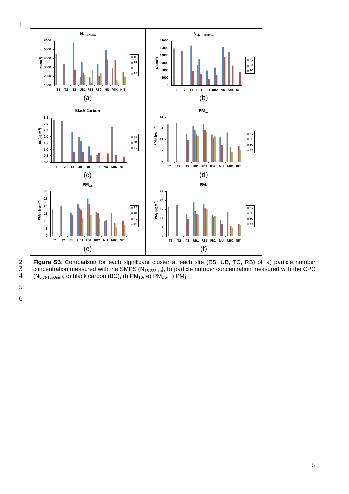

**Figure S3**: Comparison for each significant cluster at each site (RS, UB, TC, RB) of: a) particle number concentration measured with the CPC  $(N_{5(7)-1000nm})$ , c) black carbon (BC), d) PM<sub>10</sub>, e) PM<sub>2.5</sub>, f) PM<sub>1</sub>. concentration measured with the SMPS (N<sub>15-228nm</sub>), b) particle number concentration measured with the CPC  $(N_{5(7)-1000nm})$ , c) black carbon (BC), d) PM<sub>10</sub>, e) PM<sub>2.5</sub>, f) PM<sub>1</sub>.